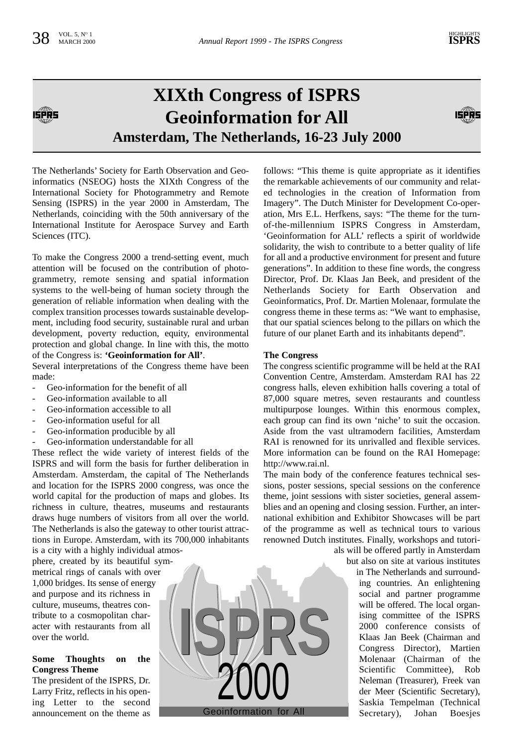原果

# **XIXth Congress of ISPRS Geoinformation for All Amsterdam, The Netherlands, 16-23 July 2000**



The Netherlands' Society for Earth Observation and Geoinformatics (NSEOG) hosts the XIXth Congress of the International Society for Photogrammetry and Remote Sensing (ISPRS) in the year 2000 in Amsterdam, The Netherlands, coinciding with the 50th anniversary of the International Institute for Aerospace Survey and Earth Sciences (ITC).

To make the Congress 2000 a trend-setting event, much attention will be focused on the contribution of photogrammetry, remote sensing and spatial information systems to the well-being of human society through the generation of reliable information when dealing with the complex transition processes towards sustainable development, including food security, sustainable rural and urban development, poverty reduction, equity, environmental protection and global change. In line with this, the motto of the Congress is: **'Geoinformation for All'**.

Several interpretations of the Congress theme have been made:

- Geo-information for the benefit of all
- Geo-information available to all
- Geo-information accessible to all
- Geo-information useful for all
- Geo-information producible by all
- Geo-information understandable for all

These reflect the wide variety of interest fields of the ISPRS and will form the basis for further deliberation in Amsterdam. Amsterdam, the capital of The Netherlands and location for the ISPRS 2000 congress, was once the world capital for the production of maps and globes. Its richness in culture, theatres, museums and restaurants draws huge numbers of visitors from all over the world. The Netherlands is also the gateway to other tourist attractions in Europe. Amsterdam, with its 700,000 inhabitants is a city with a highly individual atmos-

phere, created by its beautiful symmetrical rings of canals with over 1,000 bridges. Its sense of energy and purpose and its richness in culture, museums, theatres contribute to a cosmopolitan character with restaurants from all over the world.

## **Some Thoughts on the Congress Theme**

The president of the ISPRS, Dr. Larry Fritz, reflects in his opening Letter to the second announcement on the theme as



follows: "This theme is quite appropriate as it identifies the remarkable achievements of our community and related technologies in the creation of Information from Imagery". The Dutch Minister for Development Co-operation, Mrs E.L. Herfkens, says: "The theme for the turnof-the-millennium ISPRS Congress in Amsterdam, 'Geoinformation for ALL' reflects a spirit of worldwide solidarity, the wish to contribute to a better quality of life for all and a productive environment for present and future generations". In addition to these fine words, the congress Director, Prof. Dr. Klaas Jan Beek, and president of the Netherlands Society for Earth Observation and Geoinformatics, Prof. Dr. Martien Molenaar, formulate the congress theme in these terms as: "We want to emphasise, that our spatial sciences belong to the pillars on which the future of our planet Earth and its inhabitants depend".

### **The Congress**

The congress scientific programme will be held at the RAI Convention Centre, Amsterdam. Amsterdam RAI has 22 congress halls, eleven exhibition halls covering a total of 87,000 square metres, seven restaurants and countless multipurpose lounges. Within this enormous complex, each group can find its own 'niche' to suit the occasion. Aside from the vast ultramodern facilities, Amsterdam RAI is renowned for its unrivalled and flexible services. More information can be found on the RAI Homepage: http://www.rai.nl.

The main body of the conference features technical sessions, poster sessions, special sessions on the conference theme, joint sessions with sister societies, general assemblies and an opening and closing session. Further, an international exhibition and Exhibitor Showcases will be part of the programme as well as technical tours to various renowned Dutch institutes. Finally, workshops and tutori-

als will be offered partly in Amsterdam but also on site at various institutes

in The Netherlands and surrounding countries. An enlightening social and partner programme will be offered. The local organising committee of the ISPRS 2000 conference consists of Klaas Jan Beek (Chairman and Congress Director), Martien Molenaar (Chairman of the Scientific Committee), Rob Neleman (Treasurer), Freek van der Meer (Scientific Secretary), Saskia Tempelman (Technical Secretary), Johan Boesjes